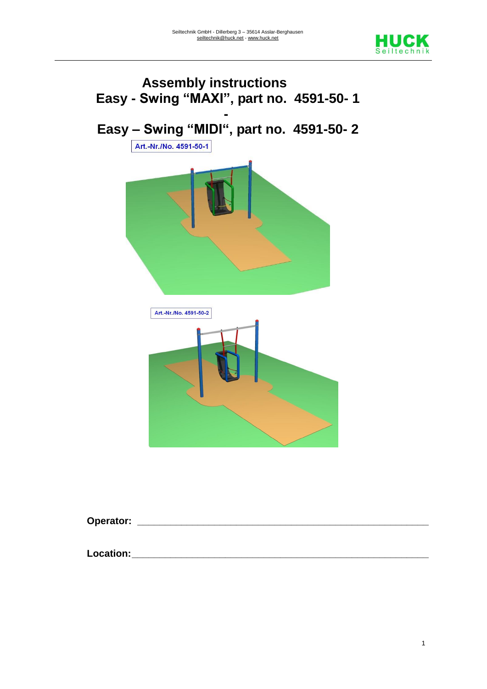



**Operator: \_\_\_\_\_\_\_\_\_\_\_\_\_\_\_\_\_\_\_\_\_\_\_\_\_\_\_\_\_\_\_\_\_\_\_\_\_\_\_\_\_\_\_\_\_\_\_\_\_\_\_\_\_**

**Location:\_\_\_\_\_\_\_\_\_\_\_\_\_\_\_\_\_\_\_\_\_\_\_\_\_\_\_\_\_\_\_\_\_\_\_\_\_\_\_\_\_\_\_\_\_\_\_\_\_\_\_\_\_\_**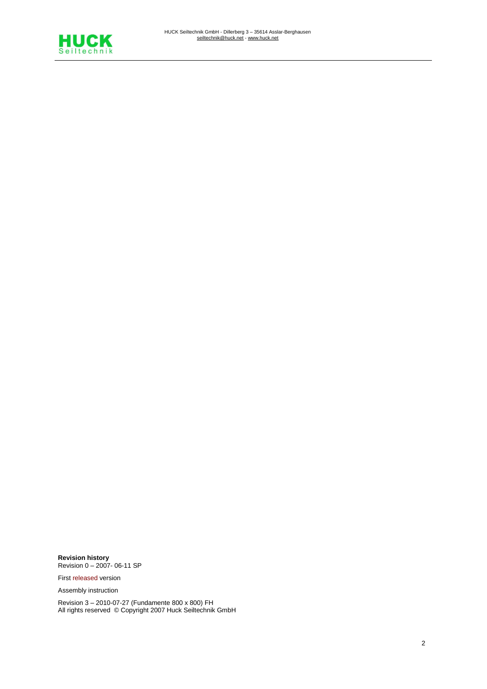

**Revision history** Revision 0 – 2007- 06-11 SP

First released version

Assembly instruction

Revision 3 – 2010-07-27 (Fundamente 800 x 800) FH All rights reserved © Copyright 2007 Huck Seiltechnik GmbH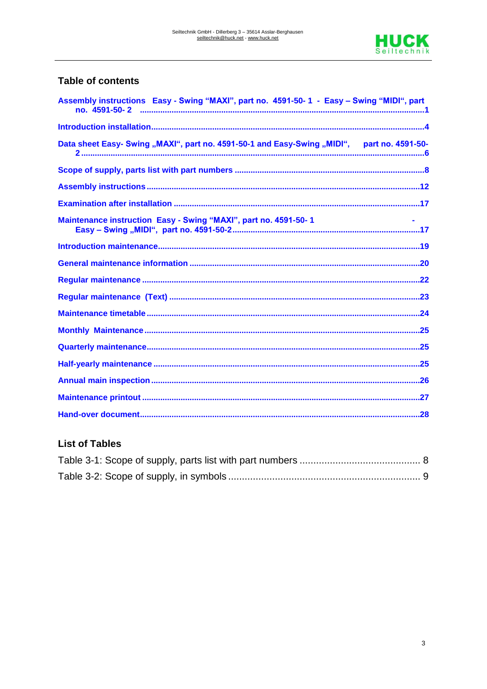

## **Table of contents**

| Assembly instructions Easy - Swing "MAXI", part no. 4591-50-1 - Easy - Swing "MIDI", part  |  |
|--------------------------------------------------------------------------------------------|--|
|                                                                                            |  |
| Data sheet Easy- Swing "MAXI", part no. 4591-50-1 and Easy-Swing "MIDI", part no. 4591-50- |  |
|                                                                                            |  |
|                                                                                            |  |
|                                                                                            |  |
| Maintenance instruction Easy - Swing "MAXI", part no. 4591-50-1                            |  |
|                                                                                            |  |
|                                                                                            |  |
|                                                                                            |  |
|                                                                                            |  |
|                                                                                            |  |
|                                                                                            |  |
|                                                                                            |  |
|                                                                                            |  |
|                                                                                            |  |
|                                                                                            |  |
|                                                                                            |  |

## **List of Tables**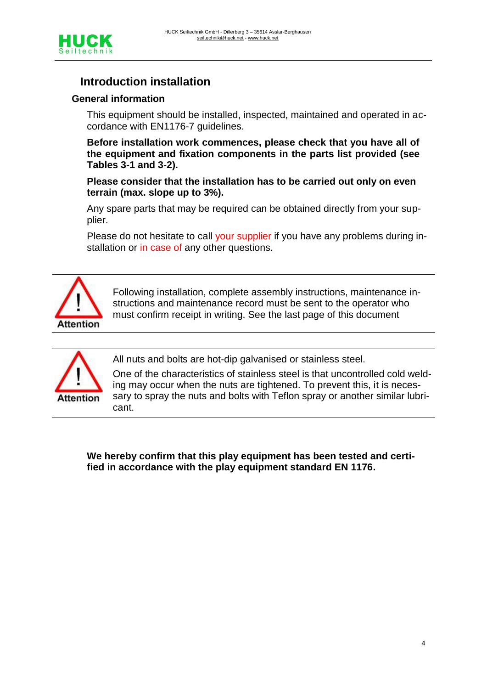

# **Introduction installation**

#### **General information**

This equipment should be installed, inspected, maintained and operated in accordance with EN1176-7 guidelines.

**Before installation work commences, please check that you have all of the equipment and fixation components in the parts list provided (see Tables 3-1 and 3-2).**

**Please consider that the installation has to be carried out only on even terrain (max. slope up to 3%).**

Any spare parts that may be required can be obtained directly from your supplier.

Please do not hesitate to call your supplier if you have any problems during installation or in case of any other questions.



Following installation, complete assembly instructions, maintenance instructions and maintenance record must be sent to the operator who must confirm receipt in writing. See the last page of this document



All nuts and bolts are hot-dip galvanised or stainless steel.

One of the characteristics of stainless steel is that uncontrolled cold welding may occur when the nuts are tightened. To prevent this, it is necessary to spray the nuts and bolts with Teflon spray or another similar lubricant.

**We hereby confirm that this play equipment has been tested and certified in accordance with the play equipment standard EN 1176.**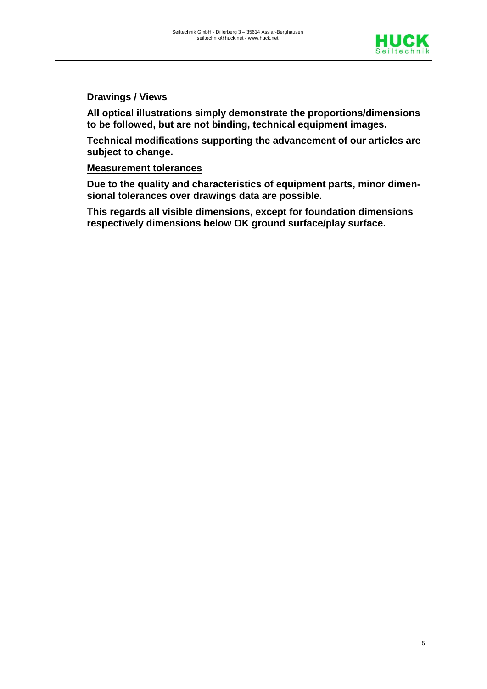

### **Drawings / Views**

**All optical illustrations simply demonstrate the proportions/dimensions to be followed, but are not binding, technical equipment images.** 

**Technical modifications supporting the advancement of our articles are subject to change.**

#### **Measurement tolerances**

**Due to the quality and characteristics of equipment parts, minor dimensional tolerances over drawings data are possible.** 

**This regards all visible dimensions, except for foundation dimensions respectively dimensions below OK ground surface/play surface.**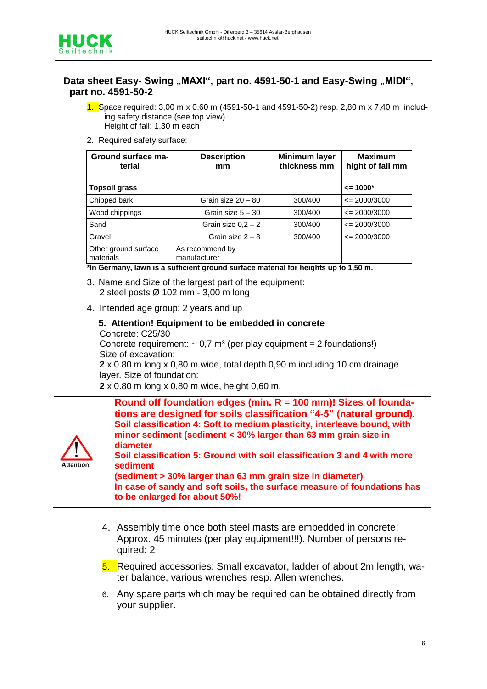

#### Data sheet Easy- Swing "MAXI", part no. 4591-50-1 and Easy-Swing "MIDI", **part no. 4591-50-2**

- 1. Space required: 3,00 m x 0,60 m (4591-50-1 and 4591-50-2) resp. 2,80 m x 7,40 m including safety distance (see top view) Height of fall: 1,30 m each
- 2. Required safety surface:

| Ground surface ma-<br>terial      | <b>Description</b><br>mm        | <b>Minimum layer</b><br>thickness mm | <b>Maximum</b><br>hight of fall mm |  |
|-----------------------------------|---------------------------------|--------------------------------------|------------------------------------|--|
| <b>Topsoil grass</b>              |                                 |                                      | $\leq$ 1000*                       |  |
| Chipped bark                      | Grain size 20 - 80              | 300/400                              | $\leq$ 2000/3000                   |  |
| Wood chippings                    | Grain size $5 - 30$             | 300/400                              | $\leq$ 2000/3000                   |  |
| Sand                              | Grain size $0.2 - 2$            | 300/400                              | $\leq$ 2000/3000                   |  |
| Gravel                            | Grain size $2 - 8$              | 300/400                              | $\leq$ 2000/3000                   |  |
| Other ground surface<br>materials | As recommend by<br>manufacturer |                                      |                                    |  |

**\*In Germany, lawn is a sufficient ground surface material for heights up to 1,50 m.**

- 3. Name and Size of the largest part of the equipment: 2 steel posts Ø 102 mm - 3,00 m long
- 4. Intended age group: 2 years and up

#### **5. Attention! Equipment to be embedded in concrete**  Concrete: C25/30 Concrete requirement:  $\sim 0.7$  m<sup>3</sup> (per play equipment = 2 foundations!) Size of excavation:

 **2** x 0.80 m long x 0,80 m wide, total depth 0,90 m including 10 cm drainage layer. Size of foundation:

**2** x 0.80 m long x 0,80 m wide, height 0,60 m.

**Round off foundation edges (min. R = 100 mm)! Sizes of foundations are designed for soils classification "4-5" (natural ground). Soil classification 4: Soft to medium plasticity, interleave bound, with minor sediment (sediment < 30% larger than 63 mm grain size in diameter**



**Soil classification 5: Ground with soil classification 3 and 4 with more sediment**

**(sediment > 30% larger than 63 mm grain size in diameter) In case of sandy and soft soils, the surface measure of foundations has to be enlarged for about 50%!**

- 4. Assembly time once both steel masts are embedded in concrete: Approx. 45 minutes (per play equipment!!!). Number of persons required: 2
- 5. Required accessories: Small excavator, ladder of about 2m length, water balance, various wrenches resp. Allen wrenches.
- 6. Any spare parts which may be required can be obtained directly from your supplier.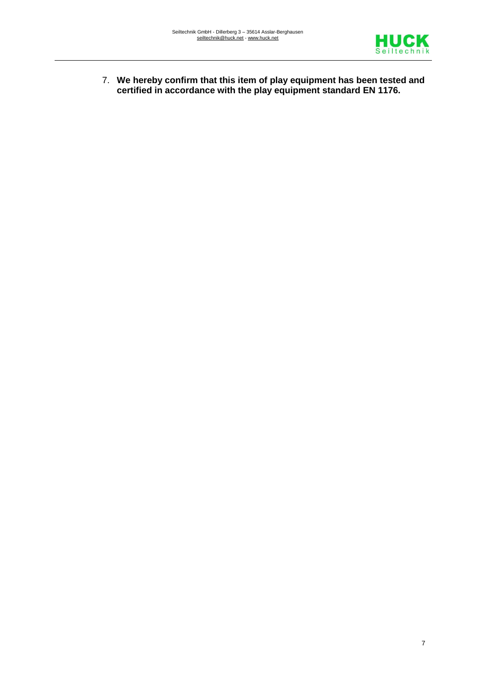

7. **We hereby confirm that this item of play equipment has been tested and certified in accordance with the play equipment standard EN 1176.**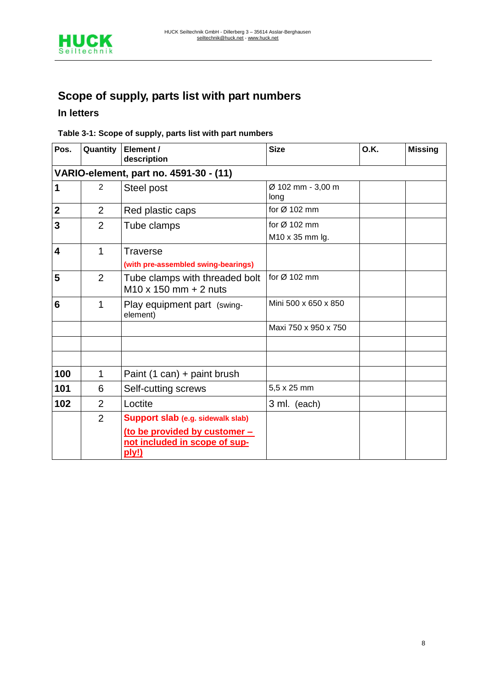

# **Scope of supply, parts list with part numbers**

### **In letters**

#### **Table 3-1: Scope of supply, parts list with part numbers**

| Pos.                                   | Quantity       | Element /<br>description                                                                                     | <b>Size</b>               | O.K. | <b>Missing</b> |  |  |  |  |
|----------------------------------------|----------------|--------------------------------------------------------------------------------------------------------------|---------------------------|------|----------------|--|--|--|--|
| VARIO-element, part no. 4591-30 - (11) |                |                                                                                                              |                           |      |                |  |  |  |  |
| 1                                      | $\overline{2}$ | Steel post                                                                                                   | Ø 102 mm - 3,00 m<br>long |      |                |  |  |  |  |
| $\mathbf{2}$                           | $\overline{2}$ | Red plastic caps                                                                                             | for $Ø$ 102 mm            |      |                |  |  |  |  |
| 3                                      | 2              | Tube clamps                                                                                                  | for Ø 102 mm              |      |                |  |  |  |  |
|                                        |                |                                                                                                              | M10 x 35 mm lg.           |      |                |  |  |  |  |
| 4                                      | 1              | <b>Traverse</b><br>(with pre-assembled swing-bearings)                                                       |                           |      |                |  |  |  |  |
| 5                                      | $\overline{2}$ | Tube clamps with threaded bolt<br>$M10 \times 150$ mm + 2 nuts                                               | for $Ø$ 102 mm            |      |                |  |  |  |  |
| $6\phantom{1}6$                        | 1              | Play equipment part (swing-<br>element)                                                                      | Mini 500 x 650 x 850      |      |                |  |  |  |  |
|                                        |                |                                                                                                              | Maxi 750 x 950 x 750      |      |                |  |  |  |  |
|                                        |                |                                                                                                              |                           |      |                |  |  |  |  |
|                                        |                |                                                                                                              |                           |      |                |  |  |  |  |
| 100                                    | 1              | Paint $(1 can) +$ paint brush                                                                                |                           |      |                |  |  |  |  |
| 101                                    | 6              | Self-cutting screws                                                                                          | 5,5 x 25 mm               |      |                |  |  |  |  |
| 102                                    | $\overline{2}$ | Loctite                                                                                                      | 3 ml. (each)              |      |                |  |  |  |  |
|                                        | $\overline{2}$ | Support slab (e.g. sidewalk slab)<br>(to be provided by customer -<br>not included in scope of sup-<br>ply!) |                           |      |                |  |  |  |  |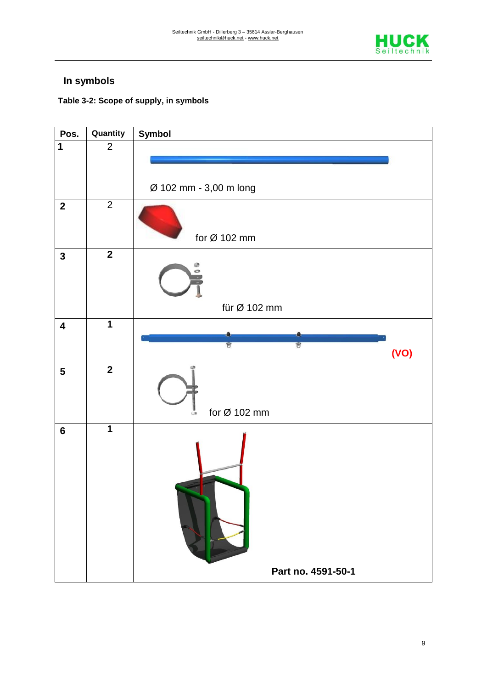

# **In symbols**

## **Table 3-2: Scope of supply, in symbols**

| Pos.                    | Quantity       | <b>Symbol</b>                  |
|-------------------------|----------------|--------------------------------|
| $\overline{1}$          | $\overline{2}$ |                                |
|                         |                |                                |
|                         |                | Ø 102 mm - 3,00 m long         |
| $\mathbf{2}$            | $\overline{2}$ | for Ø 102 mm                   |
| $\mathbf{3}$            | $\overline{2}$ | ø                              |
|                         |                | für Ø 102 mm                   |
| $\overline{\mathbf{4}}$ | $\overline{1}$ |                                |
|                         |                | U<br>U<br>(VO)                 |
| $5\phantom{a}$          | $\overline{2}$ | for Ø 102 mm<br>$\blacksquare$ |
| $6\phantom{a}$          | $\overline{1}$ |                                |
|                         |                | Part no. 4591-50-1             |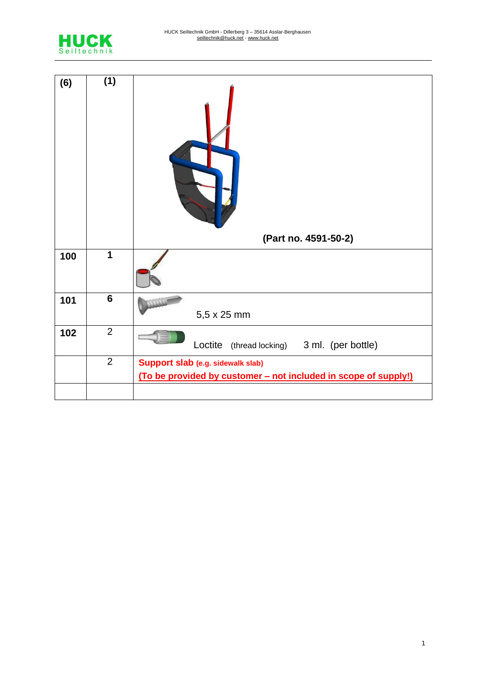

| (6) | (1)            | (Part no. 4591-50-2)                                            |
|-----|----------------|-----------------------------------------------------------------|
| 100 | $\mathbf 1$    |                                                                 |
| 101 | $6\phantom{1}$ | 5,5 x 25 mm                                                     |
| 102 | $\overline{2}$ | Loctite<br>(thread locking) 3 ml. (per bottle)                  |
|     | $\overline{2}$ | Support slab (e.g. sidewalk slab)                               |
|     |                | (To be provided by customer - not included in scope of supply!) |
|     |                |                                                                 |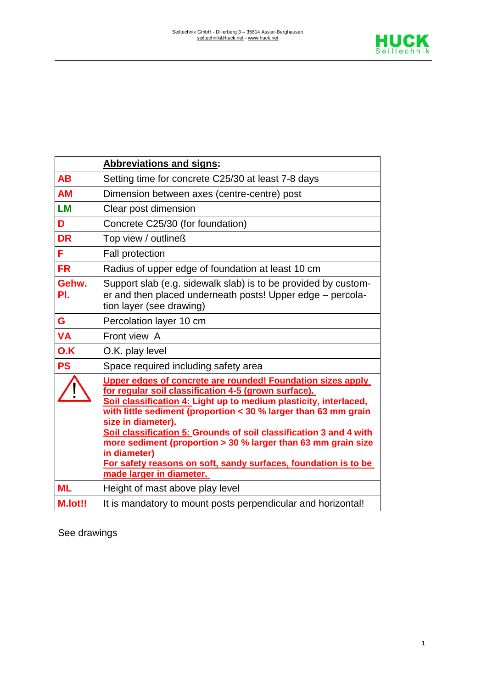

|              | <b>Abbreviations and signs:</b>                                                                                                                                                                                                                                                                                                                                                                                                                                                                                                           |
|--------------|-------------------------------------------------------------------------------------------------------------------------------------------------------------------------------------------------------------------------------------------------------------------------------------------------------------------------------------------------------------------------------------------------------------------------------------------------------------------------------------------------------------------------------------------|
| <b>AB</b>    | Setting time for concrete C25/30 at least 7-8 days                                                                                                                                                                                                                                                                                                                                                                                                                                                                                        |
| <b>AM</b>    | Dimension between axes (centre-centre) post                                                                                                                                                                                                                                                                                                                                                                                                                                                                                               |
| <b>LM</b>    | Clear post dimension                                                                                                                                                                                                                                                                                                                                                                                                                                                                                                                      |
| D            | Concrete C25/30 (for foundation)                                                                                                                                                                                                                                                                                                                                                                                                                                                                                                          |
| <b>DR</b>    | Top view / outlineß                                                                                                                                                                                                                                                                                                                                                                                                                                                                                                                       |
| F            | <b>Fall protection</b>                                                                                                                                                                                                                                                                                                                                                                                                                                                                                                                    |
| <b>FR</b>    | Radius of upper edge of foundation at least 10 cm                                                                                                                                                                                                                                                                                                                                                                                                                                                                                         |
| Gehw.<br>PI. | Support slab (e.g. sidewalk slab) is to be provided by custom-<br>er and then placed underneath posts! Upper edge - percola-<br>tion layer (see drawing)                                                                                                                                                                                                                                                                                                                                                                                  |
| G            | Percolation layer 10 cm                                                                                                                                                                                                                                                                                                                                                                                                                                                                                                                   |
| <b>VA</b>    | Front view A                                                                                                                                                                                                                                                                                                                                                                                                                                                                                                                              |
| O.K          | O.K. play level                                                                                                                                                                                                                                                                                                                                                                                                                                                                                                                           |
| <b>PS</b>    | Space required including safety area                                                                                                                                                                                                                                                                                                                                                                                                                                                                                                      |
|              | Upper edges of concrete are rounded! Foundation sizes apply<br>for regular soil classification 4-5 (grown surface).<br>Soil classification 4: Light up to medium plasticity, interlaced,<br>with little sediment (proportion $<$ 30 % larger than 63 mm grain<br>size in diameter).<br>Soil classification 5: Grounds of soil classification 3 and 4 with<br>more sediment (proportion > 30 % larger than 63 mm grain size<br>in diameter)<br>For safety reasons on soft, sandy surfaces, foundation is to be<br>made larger in diameter. |
| <b>ML</b>    | Height of mast above play level                                                                                                                                                                                                                                                                                                                                                                                                                                                                                                           |
| M.lot!!      | It is mandatory to mount posts perpendicular and horizontal!                                                                                                                                                                                                                                                                                                                                                                                                                                                                              |

See drawings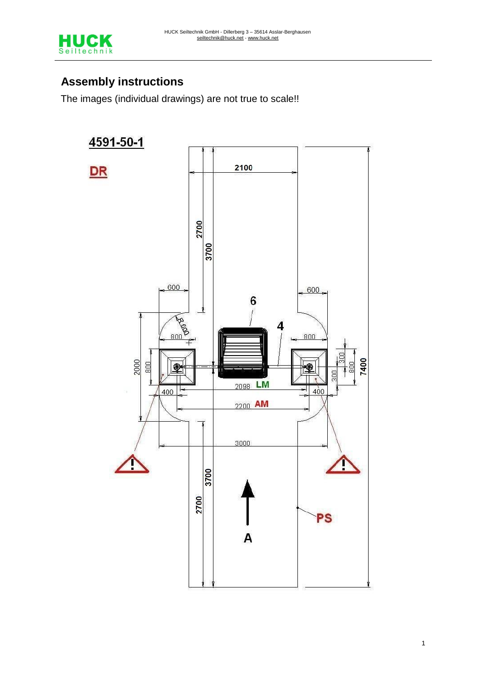

# **Assembly instructions**

The images (individual drawings) are not true to scale!!

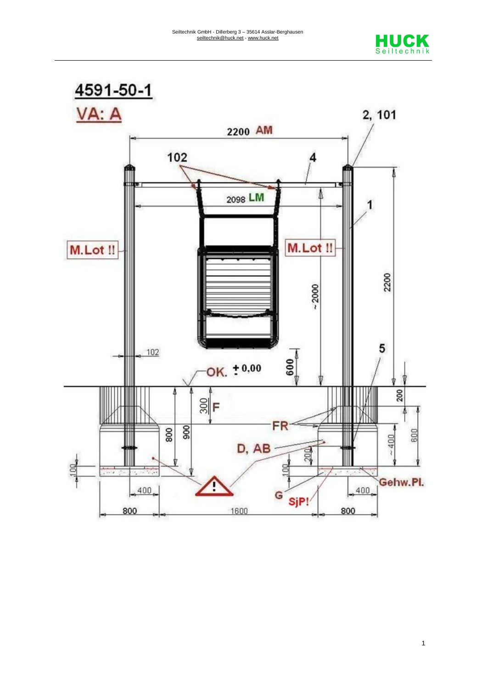



1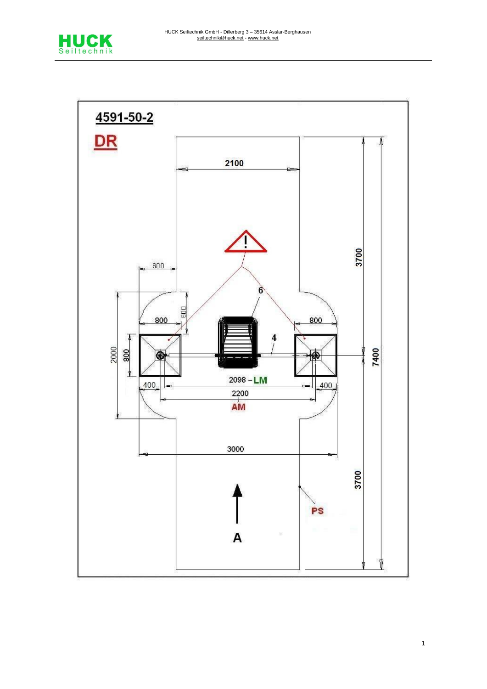

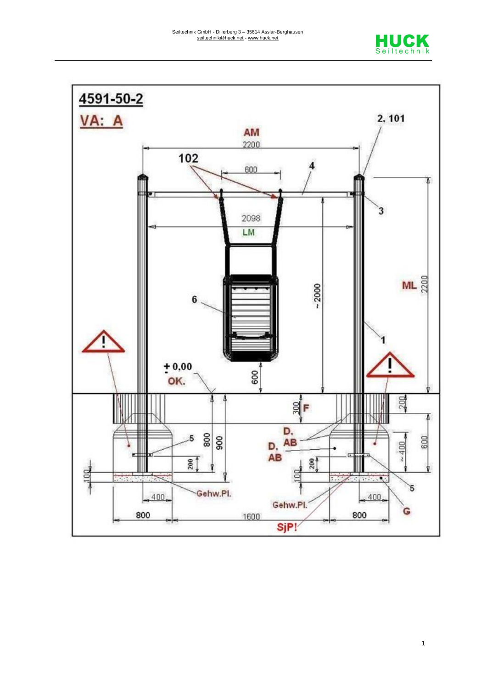



1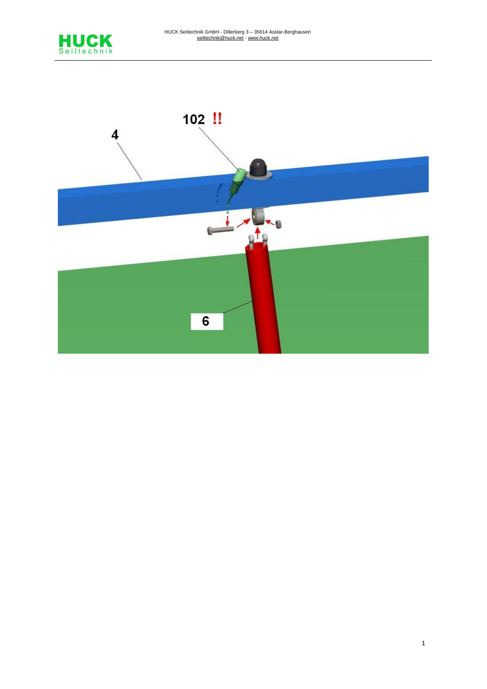

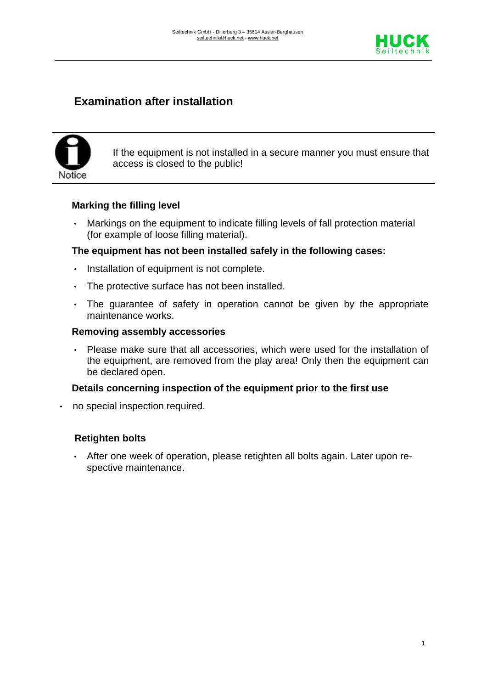

# **Examination after installation**



If the equipment is not installed in a secure manner you must ensure that access is closed to the public!

#### **Marking the filling level**

• Markings on the equipment to indicate filling levels of fall protection material (for example of loose filling material).

#### **The equipment has not been installed safely in the following cases:**

- Installation of equipment is not complete.
- The protective surface has not been installed.
- The guarantee of safety in operation cannot be given by the appropriate maintenance works.

#### **Removing assembly accessories**

• Please make sure that all accessories, which were used for the installation of the equipment, are removed from the play area! Only then the equipment can be declared open.

#### **Details concerning inspection of the equipment prior to the first use**

• no special inspection required.

#### **Retighten bolts**

• After one week of operation, please retighten all bolts again. Later upon respective maintenance.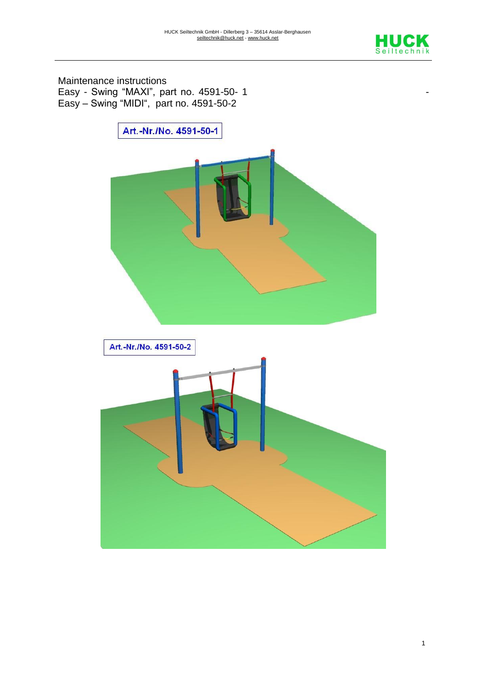

Maintenance instructions Easy - Swing "MAXI", part no. 4591-50- 1 Easy – Swing "MIDI", part no. 4591-50-2

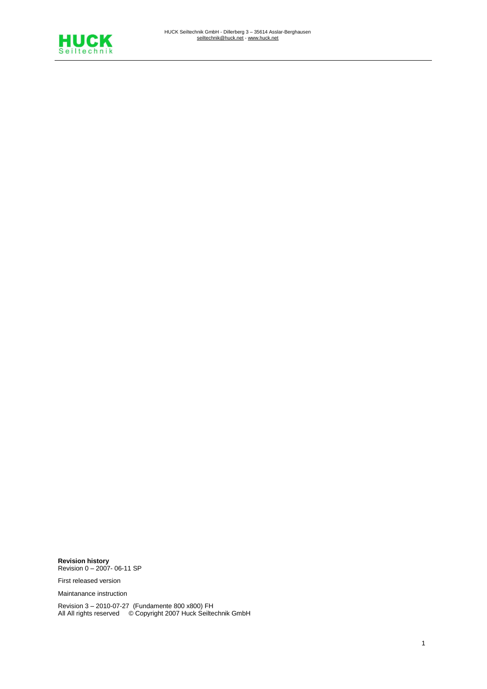

**Revision history**  Revision 0 – 2007- 06-11 SP

First released version

Maintanance instruction

Revision 3 – 2010-07-27 (Fundamente 800 x800) FH All All rights reserved © Copyright 2007 Huck Seiltechnik GmbH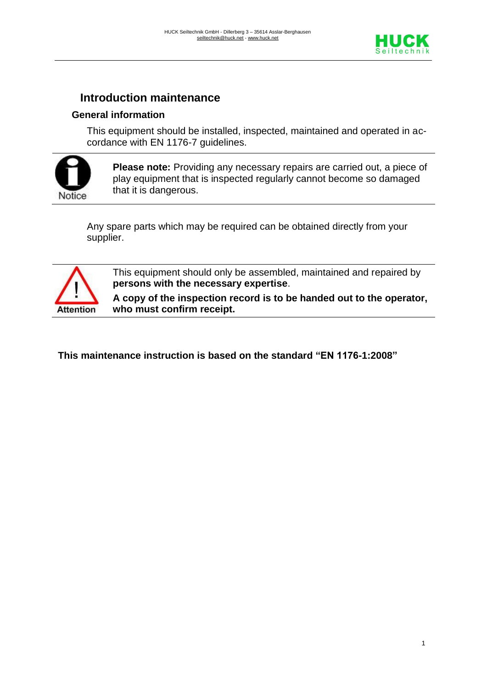

# **Introduction maintenance**

### **General information**

This equipment should be installed, inspected, maintained and operated in accordance with EN 1176-7 guidelines.



**Please note:** Providing any necessary repairs are carried out, a piece of play equipment that is inspected regularly cannot become so damaged that it is dangerous.

Any spare parts which may be required can be obtained directly from your supplier.



This equipment should only be assembled, maintained and repaired by **persons with the necessary expertise**.

**A copy of the inspection record is to be handed out to the operator, who must confirm receipt.**

**This maintenance instruction is based on the standard "EN 1176-1:2008"**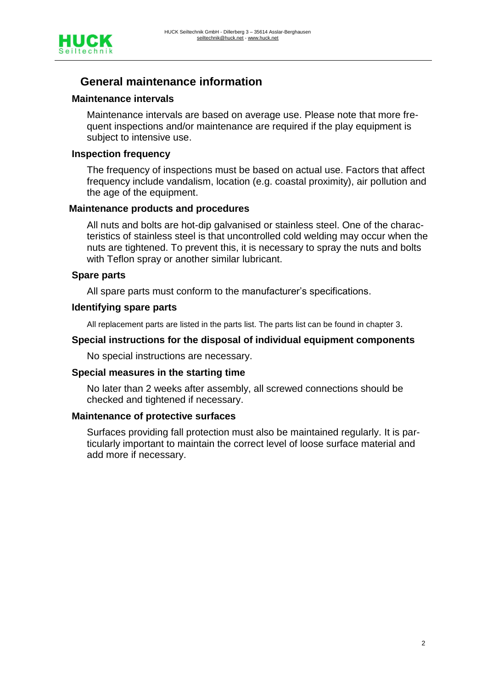

# **General maintenance information**

#### **Maintenance intervals**

Maintenance intervals are based on average use. Please note that more frequent inspections and/or maintenance are required if the play equipment is subject to intensive use.

#### **Inspection frequency**

The frequency of inspections must be based on actual use. Factors that affect frequency include vandalism, location (e.g. coastal proximity), air pollution and the age of the equipment.

#### **Maintenance products and procedures**

All nuts and bolts are hot-dip galvanised or stainless steel. One of the characteristics of stainless steel is that uncontrolled cold welding may occur when the nuts are tightened. To prevent this, it is necessary to spray the nuts and bolts with Teflon spray or another similar lubricant.

#### **Spare parts**

All spare parts must conform to the manufacturer's specifications.

#### **Identifying spare parts**

All replacement parts are listed in the parts list. The parts list can be found in chapter 3.

#### **Special instructions for the disposal of individual equipment components**

No special instructions are necessary.

#### **Special measures in the starting time**

No later than 2 weeks after assembly, all screwed connections should be checked and tightened if necessary.

#### **Maintenance of protective surfaces**

Surfaces providing fall protection must also be maintained regularly. It is particularly important to maintain the correct level of loose surface material and add more if necessary.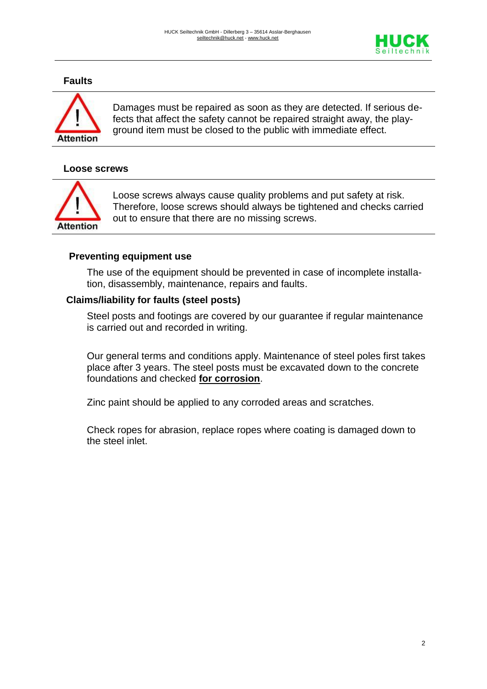

#### **Faults**



Damages must be repaired as soon as they are detected. If serious defects that affect the safety cannot be repaired straight away, the playground item must be closed to the public with immediate effect.

#### **Loose screws**



Loose screws always cause quality problems and put safety at risk. Therefore, loose screws should always be tightened and checks carried out to ensure that there are no missing screws.

#### **Preventing equipment use**

The use of the equipment should be prevented in case of incomplete installation, disassembly, maintenance, repairs and faults.

#### **Claims/liability for faults (steel posts)**

Steel posts and footings are covered by our guarantee if regular maintenance is carried out and recorded in writing.

Our general terms and conditions apply. Maintenance of steel poles first takes place after 3 years. The steel posts must be excavated down to the concrete foundations and checked **for corrosion**.

Zinc paint should be applied to any corroded areas and scratches.

Check ropes for abrasion, replace ropes where coating is damaged down to the steel inlet.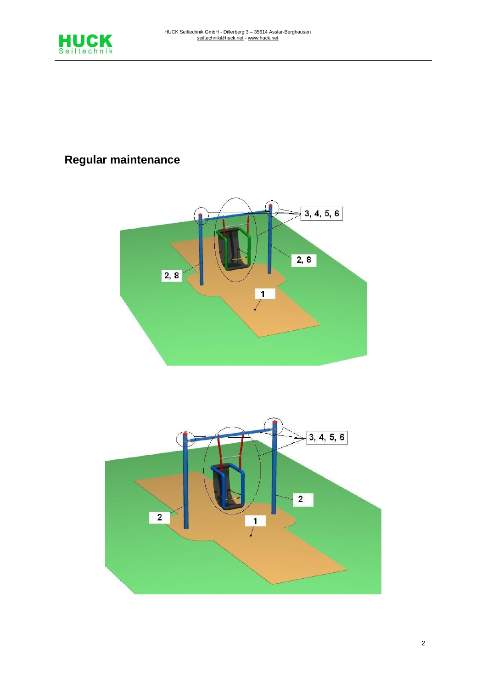

# **Regular maintenance**



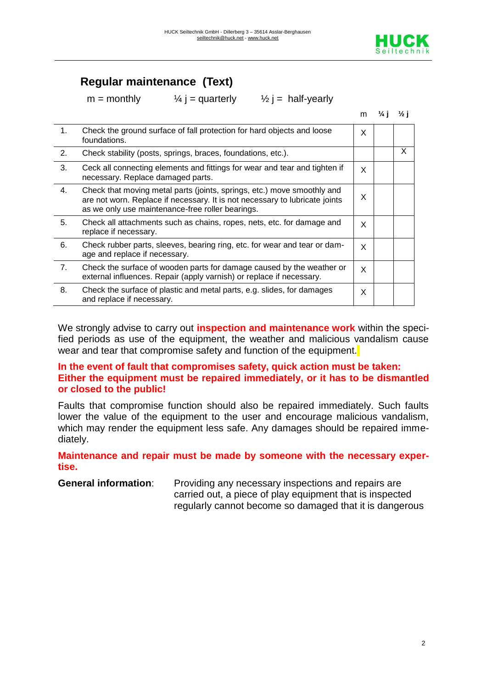

m **¼ j ½ j**

# **Regular maintenance (Text)**

 $m =$  monthly  $\frac{1}{4}$  j = quarterly  $\frac{1}{2}$  j = half-yearly

|                |                                                                                                                                                                                                            | m. | $\frac{7}{4}$ | $\frac{1}{2}$ |
|----------------|------------------------------------------------------------------------------------------------------------------------------------------------------------------------------------------------------------|----|---------------|---------------|
| 1.             | Check the ground surface of fall protection for hard objects and loose<br>foundations.                                                                                                                     | X  |               |               |
| 2.             | Check stability (posts, springs, braces, foundations, etc.).                                                                                                                                               |    |               | X             |
| 3.             | Ceck all connecting elements and fittings for wear and tear and tighten if<br>necessary. Replace damaged parts.                                                                                            | X  |               |               |
| 4.             | Check that moving metal parts (joints, springs, etc.) move smoothly and<br>are not worn. Replace if necessary. It is not necessary to lubricate joints<br>as we only use maintenance-free roller bearings. | X  |               |               |
| 5.             | Check all attachments such as chains, ropes, nets, etc. for damage and<br>replace if necessary.                                                                                                            | X  |               |               |
| 6.             | Check rubber parts, sleeves, bearing ring, etc. for wear and tear or dam-<br>age and replace if necessary.                                                                                                 | X  |               |               |
| 7 <sub>1</sub> | Check the surface of wooden parts for damage caused by the weather or<br>external influences. Repair (apply varnish) or replace if necessary.                                                              | X  |               |               |
| 8.             | Check the surface of plastic and metal parts, e.g. slides, for damages<br>and replace if necessary.                                                                                                        | X  |               |               |

We strongly advise to carry out **inspection and maintenance work** within the specified periods as use of the equipment, the weather and malicious vandalism cause wear and tear that compromise safety and function of the equipment.

#### **In the event of fault that compromises safety, quick action must be taken: Either the equipment must be repaired immediately, or it has to be dismantled or closed to the public!**

Faults that compromise function should also be repaired immediately. Such faults lower the value of the equipment to the user and encourage malicious vandalism, which may render the equipment less safe. Any damages should be repaired immediately.

#### **Maintenance and repair must be made by someone with the necessary expertise.**

**General information:** Providing any necessary inspections and repairs are carried out, a piece of play equipment that is inspected regularly cannot become so damaged that it is dangerous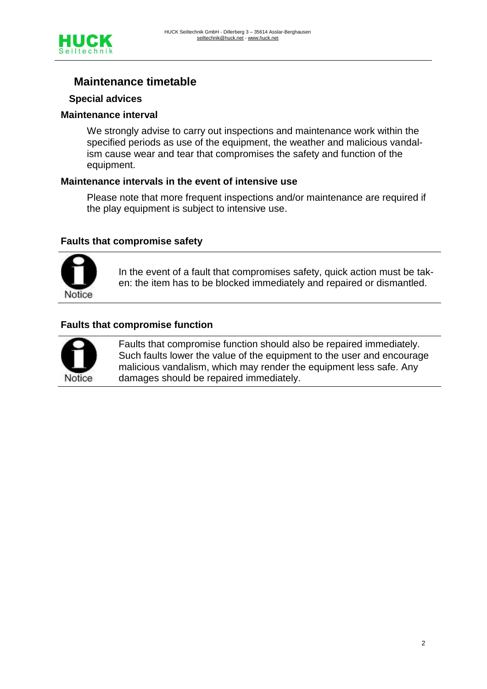

# **Maintenance timetable**

#### **Special advices**

#### **Maintenance interval**

We strongly advise to carry out inspections and maintenance work within the specified periods as use of the equipment, the weather and malicious vandalism cause wear and tear that compromises the safety and function of the equipment.

#### **Maintenance intervals in the event of intensive use**

Please note that more frequent inspections and/or maintenance are required if the play equipment is subject to intensive use.

#### **Faults that compromise safety**



In the event of a fault that compromises safety, quick action must be taken: the item has to be blocked immediately and repaired or dismantled.

#### **Faults that compromise function**



Faults that compromise function should also be repaired immediately. Such faults lower the value of the equipment to the user and encourage malicious vandalism, which may render the equipment less safe. Any damages should be repaired immediately.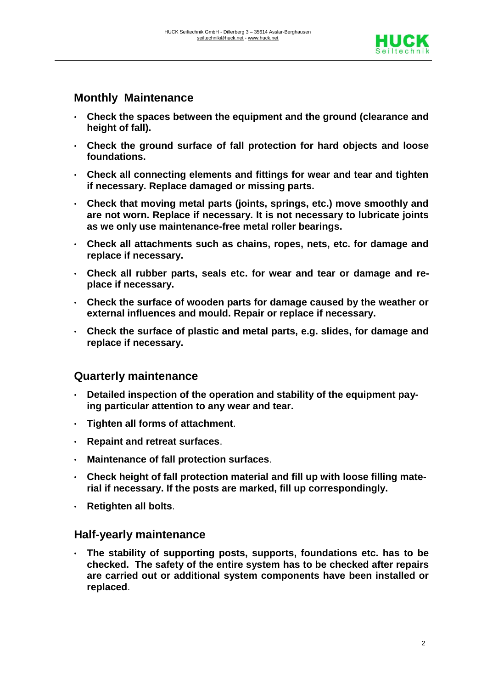

## **Monthly Maintenance**

- **Check the spaces between the equipment and the ground (clearance and height of fall).**
- **Check the ground surface of fall protection for hard objects and loose foundations.**
- **Check all connecting elements and fittings for wear and tear and tighten if necessary. Replace damaged or missing parts.**
- **Check that moving metal parts (joints, springs, etc.) move smoothly and are not worn. Replace if necessary. It is not necessary to lubricate joints as we only use maintenance-free metal roller bearings.**
- **Check all attachments such as chains, ropes, nets, etc. for damage and replace if necessary.**
- **Check all rubber parts, seals etc. for wear and tear or damage and replace if necessary.**
- **Check the surface of wooden parts for damage caused by the weather or external influences and mould. Repair or replace if necessary.**
- **Check the surface of plastic and metal parts, e.g. slides, for damage and replace if necessary.**

### **Quarterly maintenance**

- **Detailed inspection of the operation and stability of the equipment paying particular attention to any wear and tear.**
- **Tighten all forms of attachment**.
- **Repaint and retreat surfaces**.
- **Maintenance of fall protection surfaces**.
- **Check height of fall protection material and fill up with loose filling material if necessary. If the posts are marked, fill up correspondingly.**
- **Retighten all bolts**.

### **Half-yearly maintenance**

• **The stability of supporting posts, supports, foundations etc. has to be checked. The safety of the entire system has to be checked after repairs are carried out or additional system components have been installed or replaced**.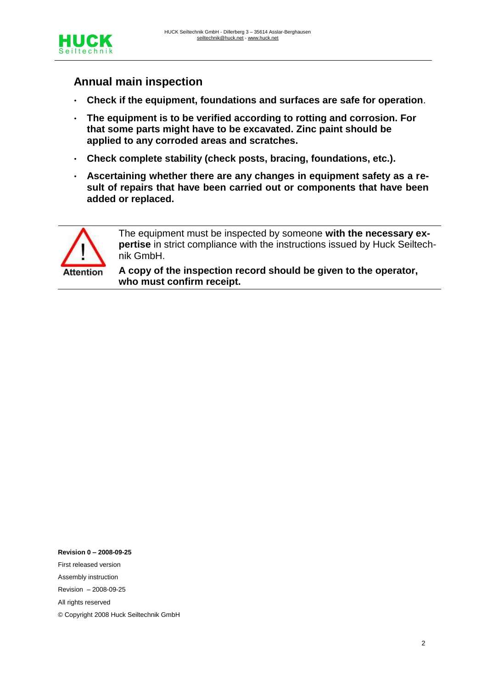

# **Annual main inspection**

- **Check if the equipment, foundations and surfaces are safe for operation**.
- **The equipment is to be verified according to rotting and corrosion. For that some parts might have to be excavated. Zinc paint should be applied to any corroded areas and scratches.**
- **Check complete stability (check posts, bracing, foundations, etc.).**
- **Ascertaining whether there are any changes in equipment safety as a result of repairs that have been carried out or components that have been added or replaced.**



The equipment must be inspected by someone **with the necessary expertise** in strict compliance with the instructions issued by Huck Seiltechnik GmbH.

**A copy of the inspection record should be given to the operator, who must confirm receipt.**

**Revision 0 – 2008-09-25** First released version Assembly instruction Revision – 2008-09-25 All rights reserved © Copyright 2008 Huck Seiltechnik GmbH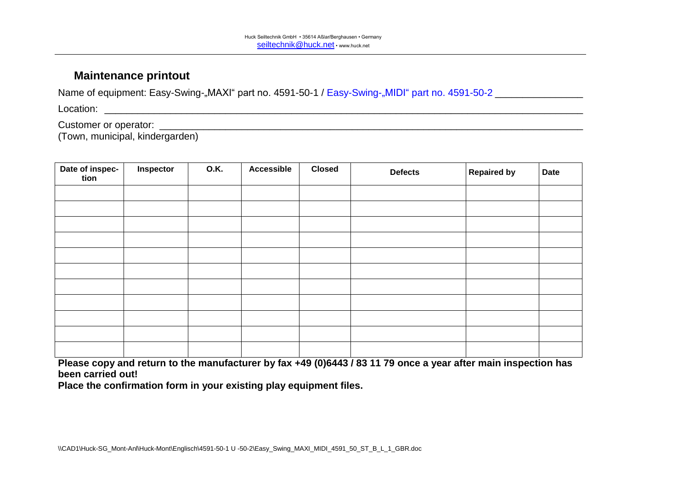### **Maintenance printout**

Name of equipment: Easy-Swing-"MAXI" part no. 4591-50-1 / Easy-Swing-"MIDI" part no. 4591-50-2 \_\_\_\_\_\_\_\_\_\_\_\_\_\_

Location: \_\_\_\_\_\_\_\_\_\_\_\_\_\_\_\_\_\_\_\_\_\_\_\_\_\_\_\_\_\_\_\_\_\_\_\_\_\_\_\_\_\_\_\_\_\_\_\_\_\_\_\_\_\_\_\_\_\_\_\_\_\_\_\_\_\_\_\_\_\_\_\_\_\_\_\_\_\_\_\_\_\_\_\_\_\_\_

Customer or operator: \_\_\_\_\_\_\_\_\_\_\_\_\_\_\_\_\_\_\_\_\_\_\_\_\_\_\_\_\_\_\_\_\_\_\_\_\_\_\_\_\_\_\_\_\_\_\_\_\_\_\_\_\_\_\_\_\_\_\_\_\_\_\_\_\_\_\_\_\_\_\_\_\_\_\_\_\_

(Town, municipal, kindergarden)

| Date of inspec-<br>tion | Inspector | <b>O.K.</b> | <b>Accessible</b> | <b>Closed</b> | <b>Defects</b> | <b>Repaired by</b> | <b>Date</b> |
|-------------------------|-----------|-------------|-------------------|---------------|----------------|--------------------|-------------|
|                         |           |             |                   |               |                |                    |             |
|                         |           |             |                   |               |                |                    |             |
|                         |           |             |                   |               |                |                    |             |
|                         |           |             |                   |               |                |                    |             |
|                         |           |             |                   |               |                |                    |             |
|                         |           |             |                   |               |                |                    |             |
|                         |           |             |                   |               |                |                    |             |
|                         |           |             |                   |               |                |                    |             |
|                         |           |             |                   |               |                |                    |             |
|                         |           |             |                   |               |                |                    |             |
|                         |           |             |                   |               |                |                    |             |

**Please copy and return to the manufacturer by fax +49 (0)6443 / 83 11 79 once a year after main inspection has been carried out!**

**Place the confirmation form in your existing play equipment files.**